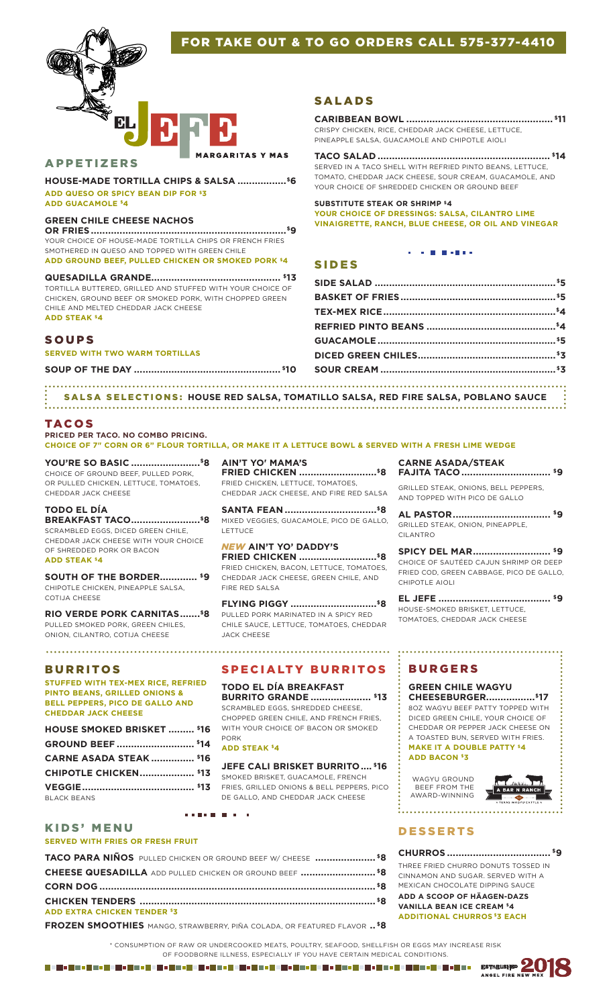# FOR TAKE OUT & TO GO ORDERS CALL 575-377-4410



#### APPETIZERS

**RGARITAS Y MAS** 

**HOUSE-MADE TORTILLA CHIPS & SALSA .................\$6 ADD QUESO OR SPICY BEAN DIP FOR \$3 ADD GUACAMOLE \$4**

#### **GREEN CHILE CHEESE NACHOS**

**OR FRIES....................................................................\$9** YOUR CHOICE OF HOUSE-MADE TORTILLA CHIPS OR FRENCH FRIES SMOTHERED IN QUESO AND TOPPED WITH GREEN CHILE **ADD GROUND BEEF, PULLED CHICKEN OR SMOKED PORK \$4**

**QUESADILLA GRANDE............................................. \$13** TORTILLA BUTTERED, GRILLED AND STUFFED WITH YOUR CHOICE OF CHICKEN, GROUND BEEF OR SMOKED PORK, WITH CHOPPED GREEN CHILE AND MELTED CHEDDAR JACK CHEESE **ADD STEAK \$4**

#### SOUPS

**SERVED WITH TWO WARM TORTILLAS**

**SOUP OF THE DAY ................................................... \$10**

SALADS

# **CARIBBEAN BOWL ................................................... \$11**

CRISPY CHICKEN, RICE, CHEDDAR JACK CHEESE, LETTUCE, PINEAPPLE SALSA, GUACAMOLE AND CHIPOTLE AIOLI

**TACO SALAD ............................................................ \$14** SERVED IN A TACO SHELL WITH REFRIED PINTO BEANS, LETTUCE, TOMATO, CHEDDAR JACK CHEESE, SOUR CREAM, GUACAMOLE, AND YOUR CHOICE OF SHREDDED CHICKEN OR GROUND BEEF

**SUBSTITUTE STEAK OR SHRIMP \$4 YOUR CHOICE OF DRESSINGS: SALSA, CILANTRO LIME VINAIGRETTE, RANCH, BLUE CHEESE, OR OIL AND VINEGAR**

**CONTRACTOR** 

# SIDES

SALSA SELECTIONS: HOUSE RED SALSA, TOMATILLO SALSA, RED FIRE SALSA, POBLANO SAUCE 

#### TACOS

**PRICED PER TACO. NO COMBO PRICING. CHOICE OF 7" CORN OR 6" FLOUR TORTILLA, OR MAKE IT A LETTUCE BOWL & SERVED WITH A FRESH LIME WEDGE**

**YOU'RE SO BASIC ........................\$8** CHOICE OF GROUND BEEF, PULLED PORK, OR PULLED CHICKEN, LETTUCE, TOMATOES, CHEDDAR JACK CHEESE

### **TODO EL DÍA**

**BREAKFAST TACO........................\$8** SCRAMBLED EGGS, DICED GREEN CHILE, CHEDDAR JACK CHEESE WITH YOUR CHOICE OF SHREDDED PORK OR BACON **ADD STEAK \$4**

**SOUTH OF THE BORDER............. \$9** CHIPOTLE CHICKEN, PINEAPPLE SALSA, COTIJA CHEESE

**RIO VERDE PORK CARNITAS.......\$8** PULLED SMOKED PORK, GREEN CHILES, ONION, CILANTRO, COTIJA CHEESE

#### BURRITOS

**STUFFED WITH TEX-MEX RICE, REFRIED PINTO BEANS, GRILLED ONIONS & BELL PEPPERS, PICO DE GALLO AND CHEDDAR JACK CHEESE**

| <b>HOUSE SMOKED BRISKET  \$16</b> |  |
|-----------------------------------|--|
|                                   |  |
| <b>CARNE ASADA STEAK  \$16</b>    |  |
| <b>CHIPOTLE CHICKEN \$13</b>      |  |
|                                   |  |
| <b>BLACK BEANS</b>                |  |

**AIN'T YO' MAMA'S FRIED CHICKEN ...........................\$8**

FRIED CHICKEN, LETTUCE, TOMATOES, CHEDDAR JACK CHEESE, AND FIRE RED SALSA

**SANTA FEAN ................................\$8** MIXED VEGGIES, GUACAMOLE, PICO DE GALLO, LETTUCE

*NEW* **AIN'T YO' DADDY'S FRIED CHICKEN ...........................\$8** FRIED CHICKEN, BACON, LETTUCE, TOMATOES, CHEDDAR JACK CHEESE, GREEN CHILE, AND FIRE RED SALSA

**FLYING PIGGY ..............................\$8** PULLED PORK MARINATED IN A SPICY RED CHILE SAUCE, LETTUCE, TOMATOES, CHEDDAR JACK CHEESE

# SPECIALTY BURRITOS

**TODO EL DÍA BREAKFAST BURRITO GRANDE ..................... \$13**  SCRAMBLED EGGS, SHREDDED CHEESE, CHOPPED GREEN CHILE, AND FRENCH FRIES,

WITH YOUR CHOICE OF BACON OR SMOKED PORK

# **ADD STEAK \$4**

### **JEFE CALI BRISKET BURRITO.... \$16**

SMOKED BRISKET, GUACAMOLE, FRENCH FRIES, GRILLED ONIONS & BELL PEPPERS, PICO DE GALLO, AND CHEDDAR JACK CHEESE

# KIDS' MENU

#### **SERVED WITH FRIES OR FRESH FRUIT**

**TACO PARA NIÑOS** PULLED CHICKEN OR GROUND BEEF W/ CHEESE **..................... \$8 CHEESE QUESADILLA** ADD PULLED CHICKEN OR GROUND BEEF **.......................... \$8 CORN DOG ................................................................................................ \$8 CHICKEN TENDERS .................................................................................. \$8 ADD EXTRA CHICKEN TENDER \$3**

*A R R A R A R A R* 

**FROZEN SMOOTHIES** MANGO, STRAWBERRY, PIÑA COLADA, OR FEATURED FLAVOR **.. \$8**

**CARNE ASADA/STEAK FAJITA TACO ............................... \$9**

GRILLED STEAK, ONIONS, BELL PEPPERS, AND TOPPED WITH PICO DE GALLO

**AL PASTOR.................................. \$9** GRILLED STEAK, ONION, PINEAPPLE, CILANTRO

**SPICY DEL MAR........................... \$9** CHOICE OF SAUTÉED CAJUN SHRIMP OR DEEP FRIED COD, GREEN CABBAGE, PICO DE GALLO, CHIPOTLE AIOLI

**EL JEFE ....................................... \$9** HOUSE-SMOKED BRISKET, LETTUCE, TOMATOES, CHEDDAR JACK CHEESE

# BURGERS

**GREEN CHILE WAGYU CHEESEBURGER.................\$17** 8OZ WAGYU BEEF PATTY TOPPED WITH DICED GREEN CHILE, YOUR CHOICE OF

...................................

CHEDDAR OR PEPPER JACK CHEESE ON A TOASTED BUN, SERVED WITH FRIES.

**MAKE IT A DOUBLE PATTY \$4 ADD BACON \$3**

WAGYU GROUND BEEF FROM THE AWARD-WINNING



# **DESSERTS**

. . . . . . . . . . . . . . . . . .

#### **CHURROS .................................... \$9**

THREE FRIED CHURRO DONUTS TOSSED IN CINNAMON AND SUGAR. SERVED WITH A MEXICAN CHOCOLATE DIPPING SAUCE

ANGEL FIRE

**ADD A SCOOP OF HÄAGEN-DAZS VANILLA BEAN ICE CREAM \$4 ADDITIONAL CHURROS \$3 EACH**

\* CONSUMPTION OF RAW OR UNDERCOOKED MEATS, POULTRY, SEAFOOD, SHELLFISH OR EGGS MAY INCREASE RISK OF FOODBORNE ILLNESS, ESPECIALLY IF YOU HAVE CERTAIN MEDICAL CONDITIONS. **ESTABLISHED** a i di cambio della cambio di cambio della cambio della cambio di cambio di cambio di cambio di cambio